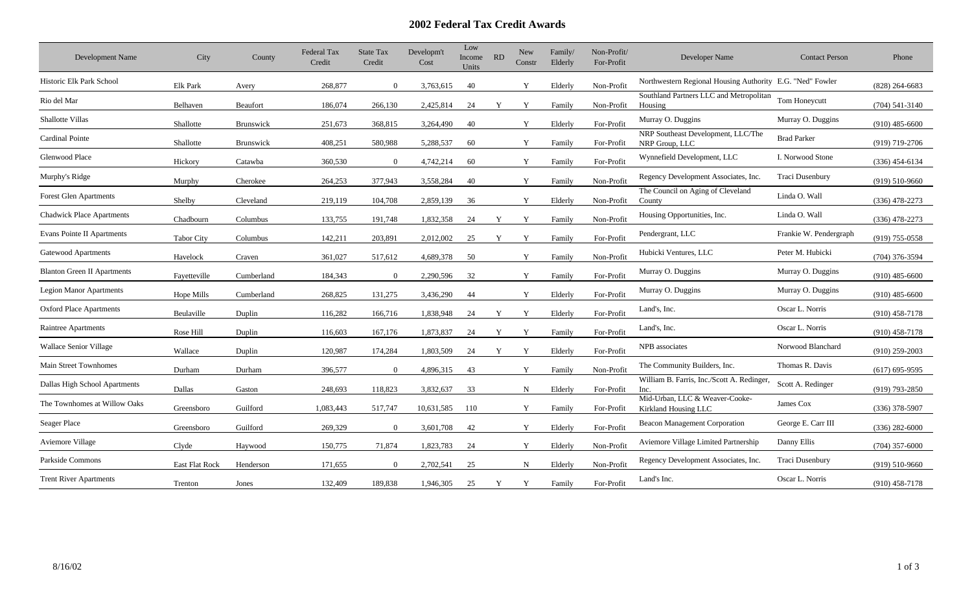## **2002 Federal Tax Credit Awards**

| Development Name                   | City                  | County     | <b>Federal Tax</b><br>Credit | <b>State Tax</b><br>Credit | Developm't<br>Cost | Low<br>Income<br>Units | <b>RD</b> | <b>New</b><br>Constr | Family/<br>Elderly | Non-Profit/<br>For-Profit | Developer Name                                            | <b>Contact Person</b>  | Phone              |
|------------------------------------|-----------------------|------------|------------------------------|----------------------------|--------------------|------------------------|-----------|----------------------|--------------------|---------------------------|-----------------------------------------------------------|------------------------|--------------------|
| Historic Elk Park School           | Elk Park              | Avery      | 268,877                      | $\Omega$                   | 3,763,615          | 40                     |           | Y                    | Elderly            | Non-Profit                | Northwestern Regional Housing Authority E.G. "Ned" Fowler |                        | $(828)$ 264-6683   |
| Rio del Mar                        | Belhaven              | Beaufort   | 186,074                      | 266,130                    | 2,425,814          | 24                     |           | Y                    | Family             | Non-Profit                | Southland Partners LLC and Metropolitan<br>Housing        | Tom Honeycutt          | $(704)$ 541-3140   |
| <b>Shallotte Villas</b>            | Shallotte             | Brunswick  | 251,673                      | 368,815                    | 3,264,490          | 40                     |           | Y                    | Elderly            | For-Profit                | Murray O. Duggins                                         | Murray O. Duggins      | $(910)$ 485-6600   |
| <b>Cardinal Pointe</b>             | Shallotte             | Brunswick  | 408,251                      | 580,988                    | 5,288,537          | 60                     |           | Y                    | Family             | For-Profit                | NRP Southeast Development, LLC/The<br>NRP Group, LLC      | <b>Brad Parker</b>     | $(919)$ 719-2706   |
| Glenwood Place                     | Hickory               | Catawba    | 360,530                      | $\Omega$                   | 4,742,214          | 60                     |           | Y                    | Family             | For-Profit                | Wynnefield Development, LLC                               | I. Norwood Stone       | $(336)$ 454-6134   |
| Murphy's Ridge                     | Murphy                | Cherokee   | 264,253                      | 377,943                    | 3,558,284          | 40                     |           | Y                    | Family             | Non-Profit                | Regency Development Associates, Inc.                      | Traci Dusenbury        | $(919)$ 510-9660   |
| <b>Forest Glen Apartments</b>      | Shelby                | Cleveland  | 219,119                      | 104,708                    | 2,859,139          | 36                     |           | Y                    | Elderly            | Non-Profit                | The Council on Aging of Cleveland<br>County               | Linda O. Wall          | $(336)$ 478-2273   |
| <b>Chadwick Place Apartments</b>   | Chadbourn             | Columbus   | 133,755                      | 191,748                    | 1,832,358          | 24                     | Y         | Y                    | Family             | Non-Profit                | Housing Opportunities, Inc.                               | Linda O. Wall          | $(336)$ 478-2273   |
| <b>Evans Pointe II Apartments</b>  | <b>Tabor City</b>     | Columbus   | 142,211                      | 203,891                    | 2,012,002          | 25                     | Y         | Y                    | Family             | For-Profit                | Pendergrant, LLC                                          | Frankie W. Pendergraph | $(919)$ 755-0558   |
| Gatewood Apartments                | Havelock              | Craven     | 361,027                      | 517,612                    | 4,689,378          | 50                     |           | Y                    | Family             | Non-Profit                | Hubicki Ventures, LLC                                     | Peter M. Hubicki       | $(704)$ 376-3594   |
| <b>Blanton Green II Apartments</b> | Fayetteville          | Cumberland | 184,343                      | $\Omega$                   | 2,290,596          | 32                     |           | Y                    | Family             | For-Profit                | Murray O. Duggins                                         | Murray O. Duggins      | $(910)$ 485-6600   |
| <b>Legion Manor Apartments</b>     | Hope Mills            | Cumberland | 268,825                      | 131,275                    | 3,436,290          | 44                     |           | Y                    | Elderly            | For-Profit                | Murray O. Duggins                                         | Murray O. Duggins      | $(910)$ 485-6600   |
| <b>Oxford Place Apartments</b>     | Beulaville            | Duplin     | 116,282                      | 166,716                    | 1,838,948          | 24                     | Y         | Y                    | Elderly            | For-Profit                | Land's, Inc.                                              | Oscar L. Norris        | $(910)$ 458-7178   |
| Raintree Apartments                | Rose Hill             | Duplin     | 116,603                      | 167,176                    | 1,873,837          | 24                     |           |                      | Family             | For-Profit                | Land's, Inc.                                              | Oscar L. Norris        | $(910)$ 458-7178   |
| <b>Wallace Senior Village</b>      | Wallace               | Duplin     | 120,987                      | 174,284                    | 1,803,509          | 24                     | Y         | Y                    | Elderly            | For-Profit                | NPB associates                                            | Norwood Blanchard      | $(910)$ 259-2003   |
| <b>Main Street Townhomes</b>       | Durham                | Durham     | 396,577                      | $\overline{0}$             | 4,896,315          | 43                     |           | Y                    | Family             | Non-Profit                | The Community Builders, Inc.                              | Thomas R. Davis        | $(617)$ 695-9595   |
| Dallas High School Apartments      | Dallas                | Gaston     | 248,693                      | 118,823                    | 3,832,637          | 33                     |           | $\mathbf N$          | Elderly            | For-Profit                | William B. Farris, Inc./Scott A. Redinger,<br>Inc.        | Scott A. Redinger      | $(919)$ 793-2850   |
| The Townhomes at Willow Oaks       | Greensboro            | Guilford   | 1,083,443                    | 517,747                    | 10,631,585         | 110                    |           | Y                    | Family             | For-Profit                | Mid-Urban, LLC & Weaver-Cooke-<br>Kirkland Housing LLC    | James Cox              | $(336)$ 378-5907   |
| Seager Place                       | Greensboro            | Guilford   | 269,329                      | $\Omega$                   | 3,601,708          | 42                     |           | Y                    | Elderly            | For-Profit                | <b>Beacon Management Corporation</b>                      | George E. Carr III     | $(336)$ 282-6000   |
| <b>Aviemore Village</b>            | Clyde                 | Haywood    | 150,775                      | 71,874                     | 1,823,783          | 24                     |           | Y                    | Elderly            | Non-Profit                | Aviemore Village Limited Partnership                      | Danny Ellis            | $(704)$ 357-6000   |
| Parkside Commons                   | <b>East Flat Rock</b> | Henderson  | 171,655                      | $\Omega$                   | 2,702,541          | 25                     |           | $\mathbf N$          | Elderly            | Non-Profit                | Regency Development Associates, Inc.                      | Traci Dusenbury        | $(919) 510 - 9660$ |
| <b>Trent River Apartments</b>      | Trenton               | Jones      | 132,409                      | 189,838                    | 1,946,305          | 25                     | Y         | Y                    | Family             | For-Profit                | Land's Inc.                                               | Oscar L. Norris        | $(910)$ 458-7178   |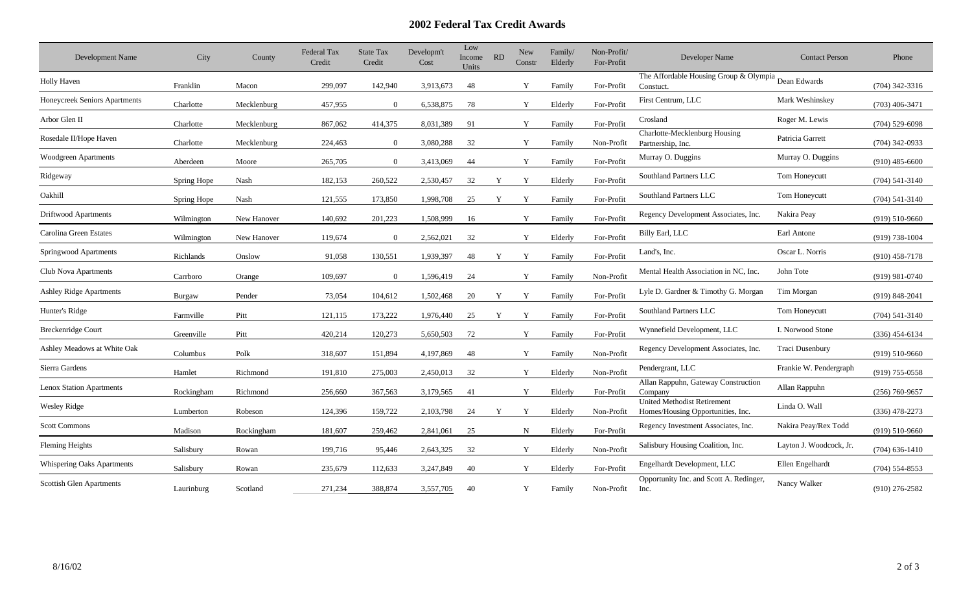## **2002 Federal Tax Credit Awards**

| Development Name                  | City        | County      | <b>Federal Tax</b><br>Credit | <b>State Tax</b><br>Credit | Developm't<br>Cost | Low<br>Income<br>Units | <b>RD</b> | New<br>Constr | Family/<br>Elderly | Non-Profit/<br>For-Profit | Developer Name                                                          | <b>Contact Person</b>   | Phone              |
|-----------------------------------|-------------|-------------|------------------------------|----------------------------|--------------------|------------------------|-----------|---------------|--------------------|---------------------------|-------------------------------------------------------------------------|-------------------------|--------------------|
| Holly Haven                       | Franklin    | Macon       | 299,097                      | 142,940                    | 3,913,673          | 48                     |           | Y             | Family             | For-Profit                | The Affordable Housing Group & Olympia Dean Edwards<br>Constuct.        |                         | $(704)$ 342-3316   |
| Honeycreek Seniors Apartments     | Charlotte   | Mecklenburg | 457,955                      | $\Omega$                   | 6,538,875          | 78                     |           | Y             | Elderly            | For-Profit                | First Centrum, LLC                                                      | Mark Weshinskey         | $(703)$ 406-3471   |
| Arbor Glen II                     | Charlotte   | Mecklenburg | 867,062                      | 414,375                    | 8,031,389          | 91                     |           | Y             | Family             | For-Profit                | Crosland                                                                | Roger M. Lewis          | $(704)$ 529-6098   |
| Rosedale II/Hope Haven            | Charlotte   | Mecklenburg | 224,463                      | $\Omega$                   | 3,080,288          | 32                     |           | Y             | Family             | Non-Profit                | Charlotte-Mecklenburg Housing<br>Partnership, Inc.                      | Patricia Garrett        | $(704)$ 342-0933   |
| Woodgreen Apartments              | Aberdeen    | Moore       | 265,705                      | $\overline{0}$             | 3,413,069          | 44                     |           | Y             | Family             | For-Profit                | Murray O. Duggins                                                       | Murray O. Duggins       | $(910)$ 485-6600   |
| Ridgeway                          | Spring Hope | Nash        | 182,153                      | 260,522                    | 2,530,457          | 32                     | Y         | Y             | Elderly            | For-Profit                | Southland Partners LLC                                                  | Tom Honeycutt           | $(704)$ 541-3140   |
| Oakhill                           | Spring Hope | Nash        | 121,555                      | 173,850                    | 1,998,708          | 25                     | Y         | Y             | Family             | For-Profit                | Southland Partners LLC                                                  | Tom Honeycutt           | $(704) 541 - 3140$ |
| Driftwood Apartments              | Wilmington  | New Hanover | 140,692                      | 201,223                    | 1,508,999          | 16                     |           | Y             | Family             | For-Profit                | Regency Development Associates, Inc.                                    | Nakira Peay             | $(919) 510 - 9660$ |
| Carolina Green Estates            | Wilmington  | New Hanover | 119,674                      | $\overline{0}$             | 2,562,021          | 32                     |           | Y             | Elderly            | For-Profit                | Billy Earl, LLC                                                         | Earl Antone             | $(919) 738 - 1004$ |
| Springwood Apartments             | Richlands   | Onslow      | 91,058                       | 130,551                    | 1,939,397          | 48                     | Y         | Y             | Family             | For-Profit                | Land's, Inc.                                                            | Oscar L. Norris         | $(910)$ 458-7178   |
| Club Nova Apartments              | Carrboro    | Orange      | 109,697                      | $\overline{0}$             | 1,596,419          | 24                     |           | Y             | Family             | Non-Profit                | Mental Health Association in NC, Inc.                                   | John Tote               | $(919)$ 981-0740   |
| Ashley Ridge Apartments           | Burgaw      | Pender      | 73,054                       | 104,612                    | 1,502,468          | 20                     | Y         | Y             | Family             | For-Profit                | Lyle D. Gardner & Timothy G. Morgan                                     | Tim Morgan              | $(919) 848 - 2041$ |
| Hunter's Ridge                    | Farmville   | Pitt        | 121,115                      | 173,222                    | 1,976,440          | 25                     | Y         | Y             | Family             | For-Profit                | Southland Partners LLC                                                  | Tom Honeycutt           | $(704) 541 - 3140$ |
| <b>Breckenridge Court</b>         | Greenville  | Pitt        | 420,214                      | 120,273                    | 5,650,503          | 72                     |           | Y             | Family             | For-Profit                | Wynnefield Development, LLC                                             | I. Norwood Stone        | $(336)$ 454-6134   |
| Ashley Meadows at White Oak       | Columbus    | Polk        | 318,607                      | 151,894                    | 4,197,869          | 48                     |           | Y             | Family             | Non-Profit                | Regency Development Associates, Inc.                                    | Traci Dusenbury         | $(919) 510 - 9660$ |
| Sierra Gardens                    | Hamlet      | Richmond    | 191,810                      | 275,003                    | 2,450,013          | 32                     |           | Y             | Elderly            | Non-Profit                | Pendergrant, LLC                                                        | Frankie W. Pendergraph  | (919) 755-0558     |
| <b>Lenox Station Apartments</b>   | Rockingham  | Richmond    | 256,660                      | 367,563                    | 3,179,565          | 41                     |           | Y             | Elderly            | For-Profit                | Allan Rappuhn, Gateway Construction<br>Company                          | Allan Rappuhn           | $(256) 760 - 9657$ |
| <b>Wesley Ridge</b>               | Lumberton   | Robeson     | 124,396                      | 159,722                    | 2,103,798          | 24                     | Y         | Y             | Elderly            | Non-Profit                | <b>United Methodist Retirement</b><br>Homes/Housing Opportunities, Inc. | Linda O. Wall           | $(336)$ 478-2273   |
| <b>Scott Commons</b>              | Madison     | Rockingham  | 181,607                      | 259,462                    | 2,841,061          | 25                     |           | N             | Elderly            | For-Profit                | Regency Investment Associates, Inc.                                     | Nakira Peay/Rex Todd    | $(919) 510 - 9660$ |
| <b>Fleming Heights</b>            | Salisbury   | Rowan       | 199,716                      | 95,446                     | 2,643,325          | 32                     |           | Y             | Elderly            | Non-Profit                | Salisbury Housing Coalition, Inc.                                       | Layton J. Woodcock, Jr. | $(704)$ 636-1410   |
| <b>Whispering Oaks Apartments</b> | Salisbury   | Rowan       | 235,679                      | 112,633                    | 3,247,849          | 40                     |           | Y             | Elderly            | For-Profit                | Engelhardt Development, LLC                                             | Ellen Engelhardt        | $(704)$ 554-8553   |
| Scottish Glen Apartments          | Laurinburg  | Scotland    | 271,234                      | 388,874                    | 3,557,705          | 40                     |           | Y             | Family             | Non-Profit                | Opportunity Inc. and Scott A. Redinger,<br>Inc.                         | Nancy Walker            | $(910)$ 276-2582   |